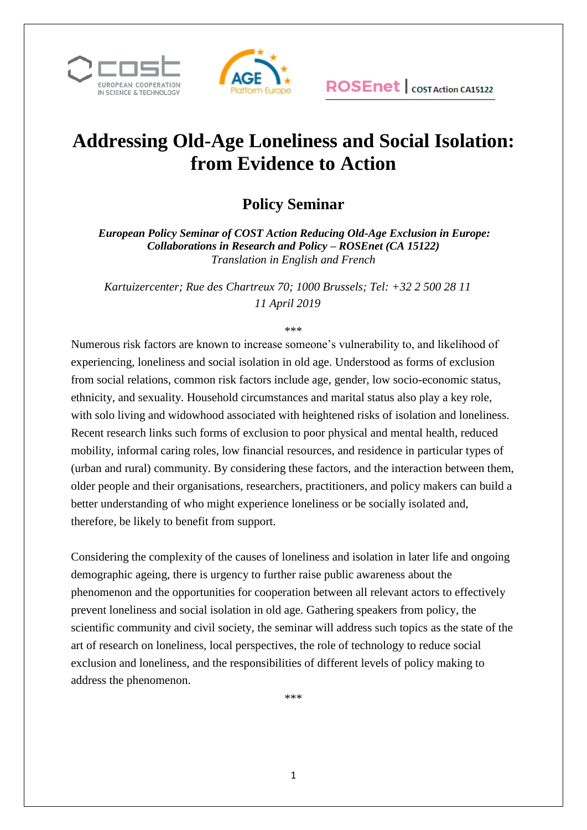



## **Addressing Old-Age Loneliness and Social Isolation: from Evidence to Action**

## **Policy Seminar**

*European Policy Seminar of COST Action Reducing Old-Age Exclusion in Europe: Collaborations in Research and Policy – ROSEnet (CA 15122) Translation in English and French*

*Kartuizercenter; Rue des Chartreux 70; 1000 Brussels; Tel: +32 2 500 28 11 11 April 2019* 

\*\*\*

Numerous risk factors are known to increase someone's vulnerability to, and likelihood of experiencing, loneliness and social isolation in old age. Understood as forms of exclusion from social relations, common risk factors include age, gender, low socio-economic status, ethnicity, and sexuality. Household circumstances and marital status also play a key role, with solo living and widowhood associated with heightened risks of isolation and loneliness. Recent research links such forms of exclusion to poor physical and mental health, reduced mobility, informal caring roles, low financial resources, and residence in particular types of (urban and rural) community. By considering these factors, and the interaction between them, older people and their organisations, researchers, practitioners, and policy makers can build a better understanding of who might experience loneliness or be socially isolated and, therefore, be likely to benefit from support.

Considering the complexity of the causes of loneliness and isolation in later life and ongoing demographic ageing, there is urgency to further raise public awareness about the phenomenon and the opportunities for cooperation between all relevant actors to effectively prevent loneliness and social isolation in old age. Gathering speakers from policy, the scientific community and civil society, the seminar will address such topics as the state of the art of research on loneliness, local perspectives, the role of technology to reduce social exclusion and loneliness, and the responsibilities of different levels of policy making to address the phenomenon.

\*\*\*

1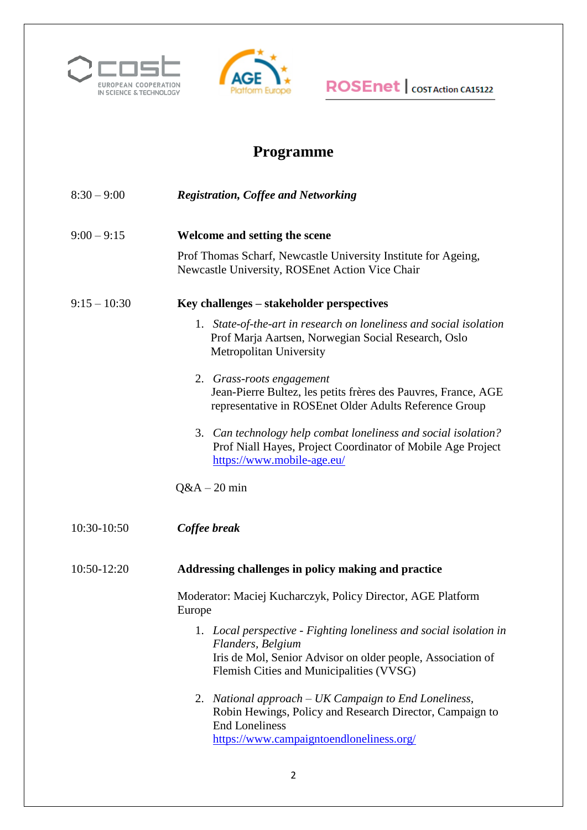



## **ROSEnet** | COST Action CA15122

## **Programme**

- 8:30 9:00 *Registration, Coffee and Networking*
- 9:00 9:15 **Welcome and setting the scene**

Prof Thomas Scharf, Newcastle University Institute for Ageing, Newcastle University, ROSEnet Action Vice Chair

#### 9:15 – 10:30 **Key challenges – stakeholder perspectives**

- 1. *State-of-the-art in research on loneliness and social isolation* Prof Marja Aartsen, Norwegian Social Research, Oslo Metropolitan University
- 2. *Grass-roots engagement*  Jean-Pierre Bultez, les petits frères des Pauvres, France, AGE representative in ROSEnet Older Adults Reference Group
- 3. *Can technology help combat loneliness and social isolation?* Prof Niall Hayes, Project Coordinator of Mobile Age Project <https://www.mobile-age.eu/>
- $Q&A-20$  min
- 10:30-10:50 *Coffee break*

#### 10:50-12:20 **Addressing challenges in policy making and practice**

Moderator: Maciej Kucharczyk, Policy Director, AGE Platform Europe

- 1. *Local perspective - Fighting loneliness and social isolation in Flanders, Belgium*  Iris de Mol, Senior Advisor on older people, Association of Flemish Cities and Municipalities (VVSG)
- 2. *National approach – UK Campaign to End Loneliness,*  Robin Hewings, Policy and Research Director, Campaign to End Loneliness <https://www.campaigntoendloneliness.org/>